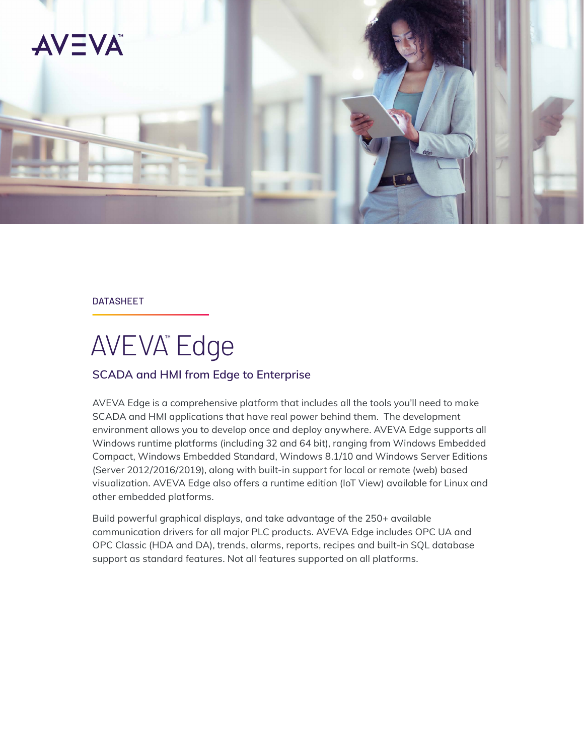

#### DATASHEET

# AVEVA™ Edge

# **SCADA and HMI from Edge to Enterprise**

AVEVA Edge is a comprehensive platform that includes all the tools you'll need to make SCADA and HMI applications that have real power behind them. The development environment allows you to develop once and deploy anywhere. AVEVA Edge supports all Windows runtime platforms (including 32 and 64 bit), ranging from Windows Embedded Compact, Windows Embedded Standard, Windows 8.1/10 and Windows Server Editions (Server 2012/2016/2019), along with built-in support for local or remote (web) based visualization. AVEVA Edge also offers a runtime edition (IoT View) available for Linux and other embedded platforms.

Build powerful graphical displays, and take advantage of the 250+ available communication drivers for all major PLC products. AVEVA Edge includes OPC UA and OPC Classic (HDA and DA), trends, alarms, reports, recipes and built-in SQL database support as standard features. Not all features supported on all platforms.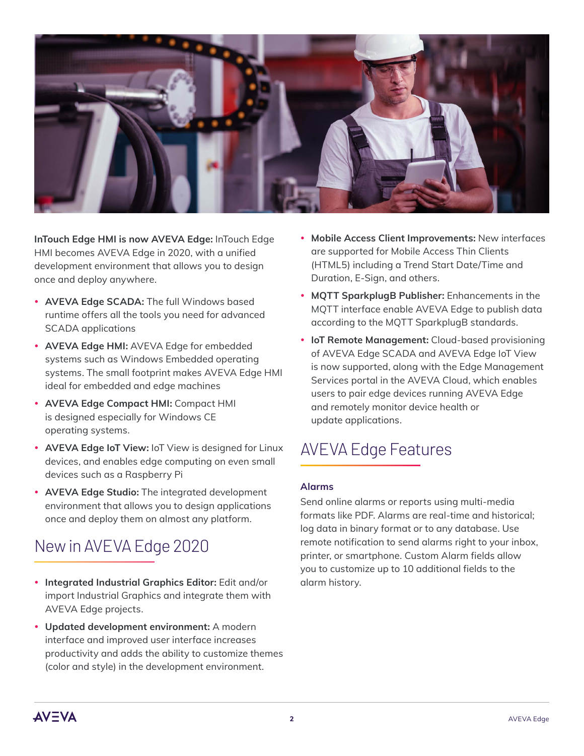

**InTouch Edge HMI is now AVEVA Edge:** InTouch Edge HMI becomes AVEVA Edge in 2020, with a unified development environment that allows you to design once and deploy anywhere.

- **AVEVA Edge SCADA:** The full Windows based runtime offers all the tools you need for advanced SCADA applications
- AVEVA Edge HMI: AVEVA Edge for embedded systems such as Windows Embedded operating systems. The small footprint makes AVEVA Edge HMI ideal for embedded and edge machines
- y **AVEVA Edge Compact HMI:** Compact HMI is designed especially for Windows CE operating systems.
- **AVEVA Edge IoT View: IoT View is designed for Linux** devices, and enables edge computing on even small devices such as a Raspberry Pi
- **AVEVA Edge Studio:** The integrated development environment that allows you to design applications once and deploy them on almost any platform.

# New in AVEVA Edge 2020

- **Integrated Industrial Graphics Editor:** Edit and/or import Industrial Graphics and integrate them with AVEVA Edge projects.
- y **Updated development environment:** A modern interface and improved user interface increases productivity and adds the ability to customize themes (color and style) in the development environment.
- **Mobile Access Client Improvements: New interfaces** are supported for Mobile Access Thin Clients (HTML5) including a Trend Start Date/Time and Duration, E-Sign, and others.
- **MQTT SparkplugB Publisher:** Enhancements in the MQTT interface enable AVEVA Edge to publish data according to the MQTT SparkplugB standards.
- **IoT Remote Management:** Cloud-based provisioning of AVEVA Edge SCADA and AVEVA Edge IoT View is now supported, along with the Edge Management Services portal in the AVEVA Cloud, which enables users to pair edge devices running AVEVA Edge and remotely monitor device health or update applications.

# AVEVA Edge Features

### **Alarms**

Send online alarms or reports using multi-media formats like PDF. Alarms are real-time and historical; log data in binary format or to any database. Use remote notification to send alarms right to your inbox, printer, or smartphone. Custom Alarm fields allow you to customize up to 10 additional fields to the alarm history.

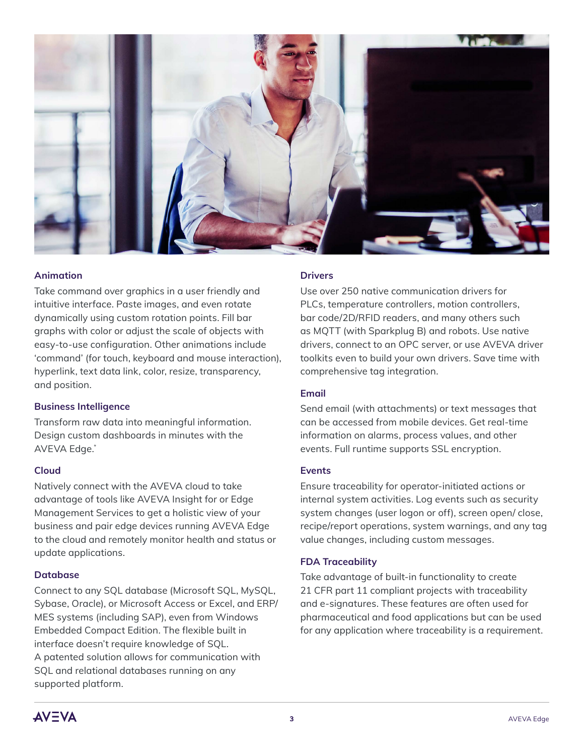

#### **Animation**

Take command over graphics in a user friendly and intuitive interface. Paste images, and even rotate dynamically using custom rotation points. Fill bar graphs with color or adjust the scale of objects with easy-to-use configuration. Other animations include 'command' (for touch, keyboard and mouse interaction), hyperlink, text data link, color, resize, transparency, and position.

#### **Business Intelligence**

Transform raw data into meaningful information. Design custom dashboards in minutes with the AVEVA Edge.\*

#### **Cloud**

Natively connect with the AVEVA cloud to take advantage of tools like AVEVA Insight for or Edge Management Services to get a holistic view of your business and pair edge devices running AVEVA Edge to the cloud and remotely monitor health and status or update applications.

#### **Database**

Connect to any SQL database (Microsoft SQL, MySQL, Sybase, Oracle), or Microsoft Access or Excel, and ERP/ MES systems (including SAP), even from Windows Embedded Compact Edition. The flexible built in interface doesn't require knowledge of SQL. A patented solution allows for communication with SQL and relational databases running on any supported platform.

#### **Drivers**

Use over 250 native communication drivers for PLCs, temperature controllers, motion controllers, bar code/2D/RFID readers, and many others such as MQTT (with Sparkplug B) and robots. Use native drivers, connect to an OPC server, or use AVEVA driver toolkits even to build your own drivers. Save time with comprehensive tag integration.

#### **Email**

Send email (with attachments) or text messages that can be accessed from mobile devices. Get real-time information on alarms, process values, and other events. Full runtime supports SSL encryption.

#### **Events**

Ensure traceability for operator-initiated actions or internal system activities. Log events such as security system changes (user logon or off), screen open/ close, recipe/report operations, system warnings, and any tag value changes, including custom messages.

#### **FDA Traceability**

Take advantage of built-in functionality to create 21 CFR part 11 compliant projects with traceability and e-signatures. These features are often used for pharmaceutical and food applications but can be used for any application where traceability is a requirement.

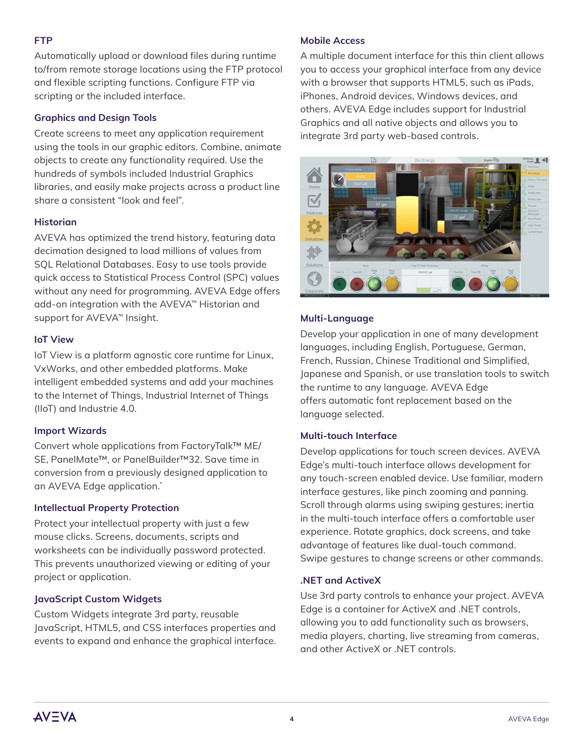#### **FTP**

Automatically upload or download files during runtime to/from remote storage locations using the FTP protocol and flexible scripting functions. Configure FTP via scripting or the included interface.

#### **Graphics and Design Tools**

Create screens to meet any application requirement using the tools in our graphic editors. Combine, animate objects to create any functionality required. Use the hundreds of symbols included Industrial Graphics libraries, and easily make projects across a product line share a consistent "look and feel".

#### **Historian**

AVEVA has optimized the trend history, featuring data decimation designed to load millions of values from SQL Relational Databases. Easy to use tools provide quick access to Statistical Process Control (SPC) values without any need for programming. AVEVA Edge offers add-on integration with the AVEVA™ Historian and support for AVEVA<sup>™</sup> Insight.

#### **IoT View**

IoT View is a platform agnostic core runtime for Linux, VxWorks, and other embedded platforms. Make intelligent embedded systems and add your machines to the Internet of Things, Industrial Internet of Things (IIoT) and Industrie 4.0.

#### **Import Wizards**

Convert whole applications from FactoryTalk™ ME/ SE, PanelMate™, or PanelBuilder™32. Save time in conversion from a previously designed application to an AVEVA Edge application.\*

#### **Intellectual Property Protection**

Protect your intellectual property with just a few mouse clicks. Screens, documents, scripts and worksheets can be individually password protected. This prevents unauthorized viewing or editing of your project or application.

### **JavaScript Custom Widgets**

Custom Widgets integrate 3rd party, reusable JavaScript, HTML5, and CSS interfaces properties and events to expand and enhance the graphical interface.

#### **Mobile Access**

A multiple document interface for this thin client allows you to access your graphical interface from any device with a browser that supports HTML5, such as iPads, iPhones, Android devices, Windows devices, and others. AVEVA Edge includes support for Industrial Graphics and all native objects and allows you to integrate 3rd party web-based controls.



#### **Multi-Language**

Develop your application in one of many development languages, including English, Portuguese, German, French, Russian, Chinese Traditional and Simplified, Japanese and Spanish, or use translation tools to switch the runtime to any language. AVEVA Edge offers automatic font replacement based on the language selected.

#### **Multi-touch Interface**

Develop applications for touch screen devices. AVEVA Edge's multi-touch interface allows development for any touch-screen enabled device. Use familiar, modern interface gestures, like pinch zooming and panning. Scroll through alarms using swiping gestures; inertia in the multi-touch interface offers a comfortable user experience. Rotate graphics, dock screens, and take advantage of features like dual-touch command. Swipe gestures to change screens or other commands.

#### **.NET and ActiveX**

Use 3rd party controls to enhance your project. AVEVA Edge is a container for ActiveX and .NET controls, allowing you to add functionality such as browsers, media players, charting, live streaming from cameras, and other ActiveX or .NET controls.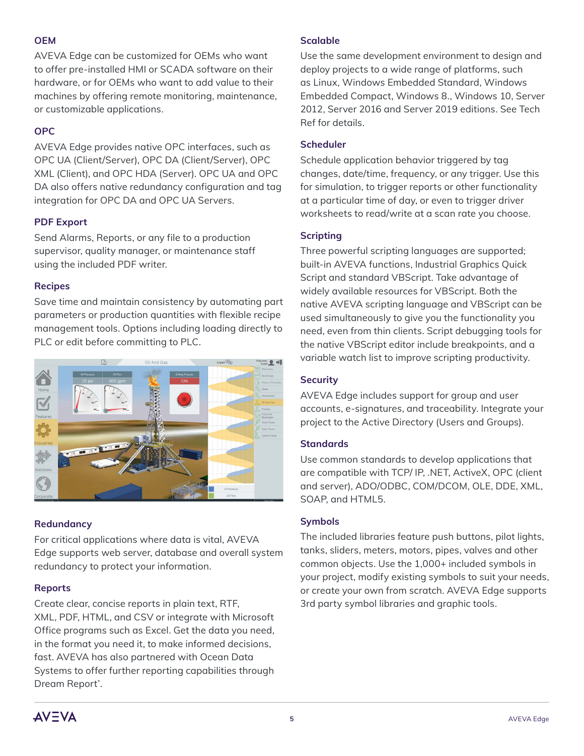#### **OEM**

AVEVA Edge can be customized for OEMs who want to offer pre-installed HMI or SCADA software on their hardware, or for OEMs who want to add value to their machines by offering remote monitoring, maintenance, or customizable applications.

# **OPC**

AVEVA Edge provides native OPC interfaces, such as OPC UA (Client/Server), OPC DA (Client/Server), OPC XML (Client), and OPC HDA (Server). OPC UA and OPC DA also offers native redundancy configuration and tag integration for OPC DA and OPC UA Servers.

# **PDF Export**

Send Alarms, Reports, or any file to a production supervisor, quality manager, or maintenance staff using the included PDF writer.

# **Recipes**

Save time and maintain consistency by automating part parameters or production quantities with flexible recipe management tools. Options including loading directly to PLC or edit before committing to PLC.



# **Redundancy**

For critical applications where data is vital, AVEVA Edge supports web server, database and overall system redundancy to protect your information.

# **Reports**

Create clear, concise reports in plain text, RTF, XML, PDF, HTML, and CSV or integrate with Microsoft Office programs such as Excel. Get the data you need, in the format you need it, to make informed decisions, fast. AVEVA has also partnered with Ocean Data Systems to offer further reporting capabilities through Dream Report\*.

### **Scalable**

Use the same development environment to design and deploy projects to a wide range of platforms, such as Linux, Windows Embedded Standard, Windows Embedded Compact, Windows 8., Windows 10, Server 2012, Server 2016 and Server 2019 editions. See Tech Ref for details.

### **Scheduler**

Schedule application behavior triggered by tag changes, date/time, frequency, or any trigger. Use this for simulation, to trigger reports or other functionality at a particular time of day, or even to trigger driver worksheets to read/write at a scan rate you choose.

### **Scripting**

Three powerful scripting languages are supported; built-in AVEVA functions, Industrial Graphics Quick Script and standard VBScript. Take advantage of widely available resources for VBScript. Both the native AVEVA scripting language and VBScript can be used simultaneously to give you the functionality you need, even from thin clients. Script debugging tools for the native VBScript editor include breakpoints, and a variable watch list to improve scripting productivity.

# **Security**

AVEVA Edge includes support for group and user accounts, e-signatures, and traceability. Integrate your project to the Active Directory (Users and Groups).

### **Standards**

Use common standards to develop applications that are compatible with TCP/ IP, .NET, ActiveX, OPC (client and server), ADO/ODBC, COM/DCOM, OLE, DDE, XML, SOAP, and HTML5.

### **Symbols**

The included libraries feature push buttons, pilot lights, tanks, sliders, meters, motors, pipes, valves and other common objects. Use the 1,000+ included symbols in your project, modify existing symbols to suit your needs, or create your own from scratch. AVEVA Edge supports 3rd party symbol libraries and graphic tools.

**AV=VA**